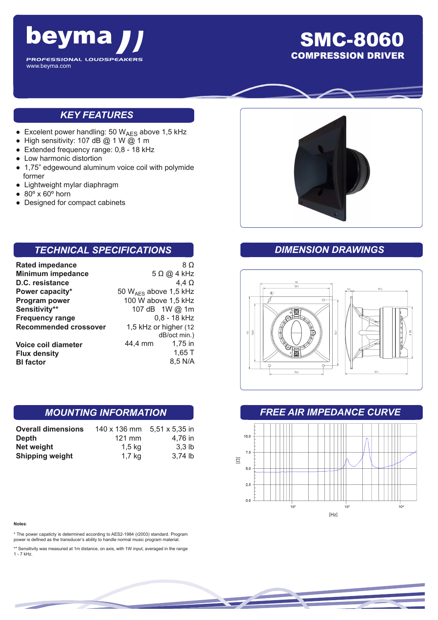

# SMC-8060 COMPRESSION DRIVER

## *KEY FEATURES*

- **•** Excelent power handling: 50  $W_{AES}$  above 1,5 kHz
- High sensitivity: 107 dB @ 1 W @ 1 m
- Extended frequency range: 0,8 18 kHz
- Low harmonic distortion
- 1,75" edgewound aluminum voice coil with polymide former
- Lightweight mylar diaphragm
- $\bullet$  80 $\degree$  x 60 $\degree$  horn
- Designed for compact cabinets

## *TECHNICAL SPECIFICATIONS*

| <b>Rated impedance</b>       |                            | 8 Ω          |
|------------------------------|----------------------------|--------------|
| <b>Minimum impedance</b>     | $5 \Omega$ @ 4 kHz         |              |
| D.C. resistance              |                            | 4.4 $\Omega$ |
| Power capacity*              | 50 $W_{AFS}$ above 1,5 kHz |              |
| Program power                | 100 W above 1,5 kHz        |              |
| Sensitivity**                | 107 dB 1W @ 1m             |              |
| <b>Frequency range</b>       | 0,8 - 18 kHz               |              |
| <b>Recommended crossover</b> | 1,5 kHz or higher (12      |              |
|                              |                            | dB/oct min.) |
| <b>Voice coil diameter</b>   | 44,4 mm                    | $1,75$ in    |
| <b>Flux density</b>          |                            | 1,65 T       |
| <b>BI</b> factor             |                            | 8,5 N/A      |

#### *MOUNTING INFORMATION*

| <b>Overall dimensions</b> | 140 x 136 mm | 5,51 x 5,35 in    |
|---------------------------|--------------|-------------------|
| Depth                     | $121$ mm     | 4.76 in           |
| Net weight                | 1,5 kg       | 3.3 <sub>lb</sub> |
| <b>Shipping weight</b>    | $1,7$ kg     | 3.74 lb           |

#### **Notes**:

\* The power capaticty is determined according to AES2-1984 (r2003) standard. Program power is defined as the transducer's ability to handle normal music program material.

\*\* Sensitivity was measured at 1m distance, on axis, with 1W input, averaged in the range 1 - 7 kHz.



#### *DIMENSION DRAWINGS*



#### *FREE AIR IMPEDANCE CURVE*